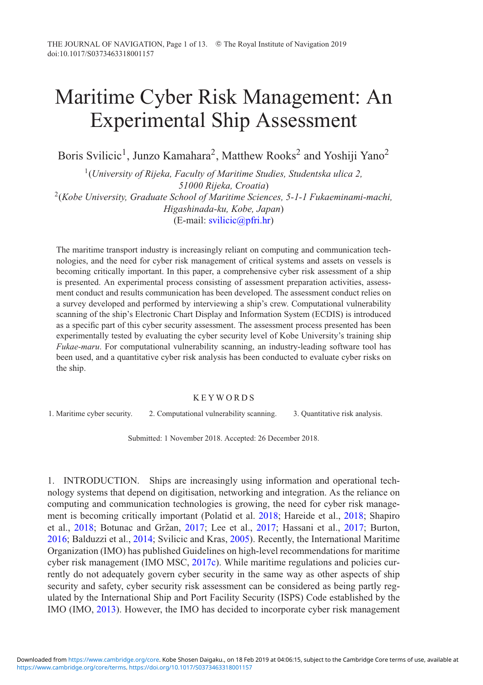# Maritime Cyber Risk Management: An Experimental Ship Assessment

Boris Svilicic<sup>1</sup>, Junzo Kamahara<sup>2</sup>, Matthew Rooks<sup>2</sup> and Yoshiii Yano<sup>2</sup>

1(*University of Rijeka, Faculty of Maritime Studies, Studentska ulica 2, 51000 Rijeka, Croatia*) 2(*Kobe University, Graduate School of Maritime Sciences, 5-1-1 Fukaeminami-machi, Higashinada-ku, Kobe, Japan*) (E-mail: [svilicic@pfri.hr\)](mailto:svilicic@pfri.hr)

The maritime transport industry is increasingly reliant on computing and communication technologies, and the need for cyber risk management of critical systems and assets on vessels is becoming critically important. In this paper, a comprehensive cyber risk assessment of a ship is presented. An experimental process consisting of assessment preparation activities, assessment conduct and results communication has been developed. The assessment conduct relies on a survey developed and performed by interviewing a ship's crew. Computational vulnerability scanning of the ship's Electronic Chart Display and Information System (ECDIS) is introduced as a specific part of this cyber security assessment. The assessment process presented has been experimentally tested by evaluating the cyber security level of Kobe University's training ship *Fukae-maru*. For computational vulnerability scanning, an industry-leading software tool has been used, and a quantitative cyber risk analysis has been conducted to evaluate cyber risks on the ship.

## KEYWORDS

1. Maritime cyber security. 2. Computational vulnerability scanning. 3. Quantitative risk analysis.

Submitted: 1 November 2018. Accepted: 26 December 2018.

1. INTRODUCTION. Ships are increasingly using information and operational technology systems that depend on digitisation, networking and integration. As the reliance on computing and communication technologies is growing, the need for cyber risk management is becoming critically important (Polatid et al. [2018;](#page-12-0) Hareide et al., [2018;](#page-11-0) Shapiro et al., [2018;](#page-12-1) Botunac and Gržan, [2017;](#page-11-2) Lee et al., 2017; Hassani et al., 2017; Burton, [2016;](#page-11-3) Balduzzi et al., [2014;](#page-11-4) Svilicic and Kras, [2005\)](#page-12-3). Recently, the International Maritime Organization (IMO) has published Guidelines on high-level recommendations for maritime cyber risk management (IMO MSC, [2017c\)](#page-12-4). While maritime regulations and policies currently do not adequately govern cyber security in the same way as other aspects of ship security and safety, cyber security risk assessment can be considered as being partly regulated by the International Ship and Port Facility Security (ISPS) Code established by the IMO (IMO, [2013\)](#page-12-5). However, the IMO has decided to incorporate cyber risk management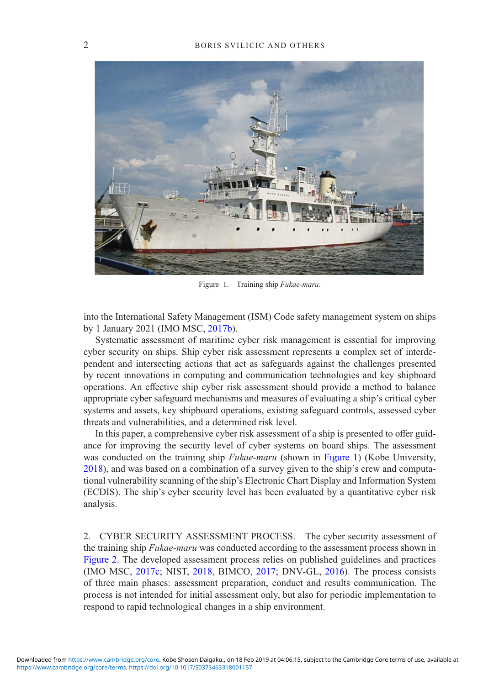<span id="page-1-0"></span>

Figure 1. Training ship *Fukae-maru*.

into the International Safety Management (ISM) Code safety management system on ships by 1 January 2021 (IMO MSC, [2017b\)](#page-12-6).

Systematic assessment of maritime cyber risk management is essential for improving cyber security on ships. Ship cyber risk assessment represents a complex set of interdependent and intersecting actions that act as safeguards against the challenges presented by recent innovations in computing and communication technologies and key shipboard operations. An effective ship cyber risk assessment should provide a method to balance appropriate cyber safeguard mechanisms and measures of evaluating a ship's critical cyber systems and assets, key shipboard operations, existing safeguard controls, assessed cyber threats and vulnerabilities, and a determined risk level.

In this paper, a comprehensive cyber risk assessment of a ship is presented to offer guidance for improving the security level of cyber systems on board ships. The assessment was conducted on the training ship *Fukae-maru* (shown in [Figure 1\)](#page-1-0) (Kobe University, [2018\)](#page-12-7), and was based on a combination of a survey given to the ship's crew and computational vulnerability scanning of the ship's Electronic Chart Display and Information System (ECDIS). The ship's cyber security level has been evaluated by a quantitative cyber risk analysis.

2. CYBER SECURITY ASSESSMENT PROCESS. The cyber security assessment of the training ship *Fukae-maru* was conducted according to the assessment process shown in [Figure 2.](#page-2-0) The developed assessment process relies on published guidelines and practices (IMO MSC, [2017c;](#page-12-4) NIST, [2018,](#page-12-8) BIMCO, [2017;](#page-11-5) DNV-GL, [2016\)](#page-11-6). The process consists of three main phases: assessment preparation, conduct and results communication. The process is not intended for initial assessment only, but also for periodic implementation to respond to rapid technological changes in a ship environment.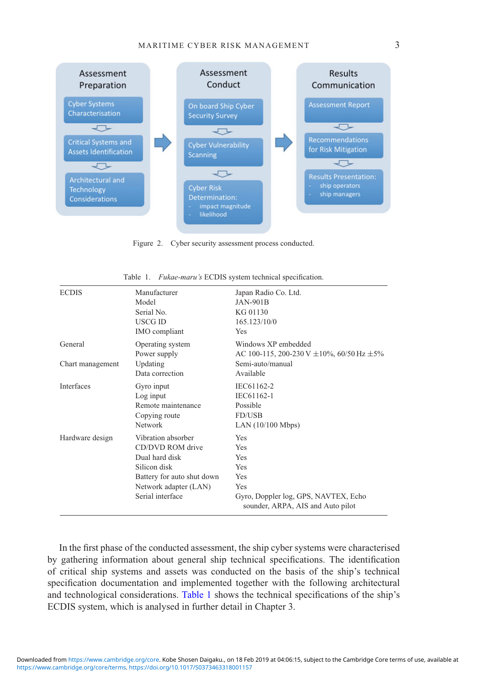<span id="page-2-0"></span>



<span id="page-2-1"></span>

| <b>ECDIS</b>      | Manufacturer<br>Model      | Japan Radio Co. Ltd.<br><b>JAN-901B</b>               |
|-------------------|----------------------------|-------------------------------------------------------|
|                   | Serial No.                 | KG 01130                                              |
|                   | USCG ID                    | 165.123/10/0                                          |
|                   |                            |                                                       |
|                   | IMO compliant              | Yes                                                   |
| General           | Operating system           | Windows XP embedded                                   |
|                   | Power supply               | AC 100-115, 200-230 V $\pm 10\%$ , 60/50 Hz $\pm 5\%$ |
| Chart management  | Updating                   | Semi-auto/manual                                      |
|                   | Data correction            | Available                                             |
| <b>Interfaces</b> | Gyro input                 | IEC61162-2                                            |
|                   | Log input                  | IEC61162-1                                            |
|                   | Remote maintenance         | Possible                                              |
|                   | Copying route              | <b>FD/USB</b>                                         |
|                   | <b>Network</b>             | LAN $(10/100$ Mbps)                                   |
| Hardware design   | Vibration absorber         | Yes                                                   |
|                   | CD/DVD ROM drive           | Yes                                                   |
|                   | Dual hard disk             | Yes                                                   |
|                   | Silicon disk               | Yes                                                   |
|                   | Battery for auto shut down | Yes                                                   |
|                   | Network adapter (LAN)      | Yes                                                   |
|                   | Serial interface           | Gyro, Doppler log, GPS, NAVTEX, Echo                  |
|                   |                            | sounder, ARPA, AIS and Auto pilot                     |

Table 1. *Fukae-maru's* ECDIS system technical specification.

In the first phase of the conducted assessment, the ship cyber systems were characterised by gathering information about general ship technical specifications. The identification of critical ship systems and assets was conducted on the basis of the ship's technical specification documentation and implemented together with the following architectural and technological considerations. [Table 1](#page-2-1) shows the technical specifications of the ship's ECDIS system, which is analysed in further detail in Chapter 3.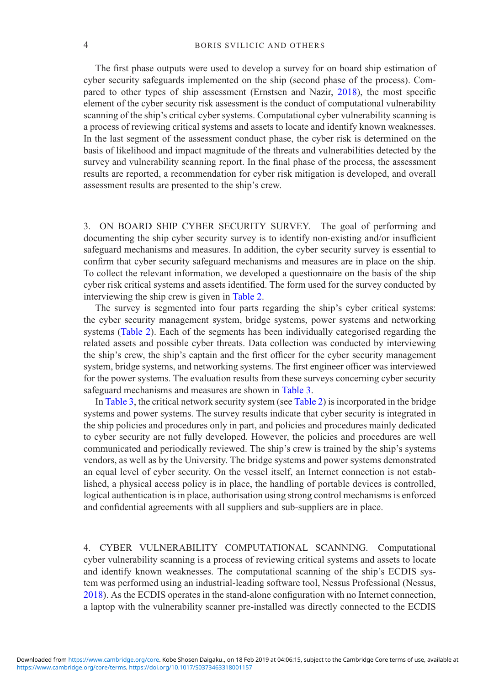The first phase outputs were used to develop a survey for on board ship estimation of cyber security safeguards implemented on the ship (second phase of the process). Compared to other types of ship assessment (Ernstsen and Nazir, [2018\)](#page-11-7), the most specific element of the cyber security risk assessment is the conduct of computational vulnerability scanning of the ship's critical cyber systems. Computational cyber vulnerability scanning is a process of reviewing critical systems and assets to locate and identify known weaknesses. In the last segment of the assessment conduct phase, the cyber risk is determined on the basis of likelihood and impact magnitude of the threats and vulnerabilities detected by the survey and vulnerability scanning report. In the final phase of the process, the assessment results are reported, a recommendation for cyber risk mitigation is developed, and overall assessment results are presented to the ship's crew.

3. ON BOARD SHIP CYBER SECURITY SURVEY. The goal of performing and documenting the ship cyber security survey is to identify non-existing and/or insufficient safeguard mechanisms and measures. In addition, the cyber security survey is essential to confirm that cyber security safeguard mechanisms and measures are in place on the ship. To collect the relevant information, we developed a questionnaire on the basis of the ship cyber risk critical systems and assets identified. The form used for the survey conducted by interviewing the ship crew is given in [Table 2.](#page-4-0)

The survey is segmented into four parts regarding the ship's cyber critical systems: the cyber security management system, bridge systems, power systems and networking systems [\(Table 2\)](#page-4-0). Each of the segments has been individually categorised regarding the related assets and possible cyber threats. Data collection was conducted by interviewing the ship's crew, the ship's captain and the first officer for the cyber security management system, bridge systems, and networking systems. The first engineer officer was interviewed for the power systems. The evaluation results from these surveys concerning cyber security safeguard mechanisms and measures are shown in [Table 3.](#page-5-0)

In [Table 3,](#page-5-0) the critical network security system (see [Table 2\)](#page-4-0) is incorporated in the bridge systems and power systems. The survey results indicate that cyber security is integrated in the ship policies and procedures only in part, and policies and procedures mainly dedicated to cyber security are not fully developed. However, the policies and procedures are well communicated and periodically reviewed. The ship's crew is trained by the ship's systems vendors, as well as by the University. The bridge systems and power systems demonstrated an equal level of cyber security. On the vessel itself, an Internet connection is not established, a physical access policy is in place, the handling of portable devices is controlled, logical authentication is in place, authorisation using strong control mechanisms is enforced and confidential agreements with all suppliers and sub-suppliers are in place.

4. CYBER VULNERABILITY COMPUTATIONAL SCANNING. Computational cyber vulnerability scanning is a process of reviewing critical systems and assets to locate and identify known weaknesses. The computational scanning of the ship's ECDIS system was performed using an industrial-leading software tool, Nessus Professional (Nessus, [2018\)](#page-12-9). As the ECDIS operates in the stand-alone configuration with no Internet connection, a laptop with the vulnerability scanner pre-installed was directly connected to the ECDIS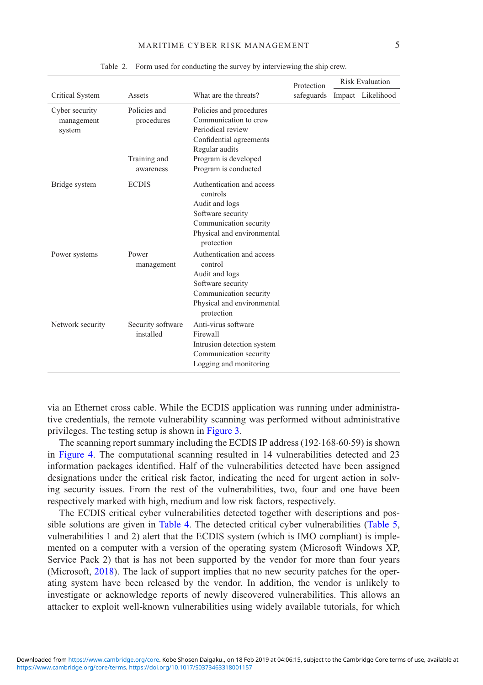<span id="page-4-0"></span>

|                                        |                                |                                                                                                                                                    | Protection | <b>Risk Evaluation</b> |                   |
|----------------------------------------|--------------------------------|----------------------------------------------------------------------------------------------------------------------------------------------------|------------|------------------------|-------------------|
| Critical System                        | Assets                         | What are the threats?                                                                                                                              | safeguards |                        | Impact Likelihood |
| Cyber security<br>management<br>system | Policies and<br>procedures     | Policies and procedures<br>Communication to crew<br>Periodical review<br>Confidential agreements<br>Regular audits                                 |            |                        |                   |
|                                        | Training and<br>awareness      | Program is developed<br>Program is conducted                                                                                                       |            |                        |                   |
| Bridge system                          | <b>ECDIS</b>                   | Authentication and access<br>controls<br>Audit and logs<br>Software security<br>Communication security<br>Physical and environmental<br>protection |            |                        |                   |
| Power systems                          | Power<br>management            | Authentication and access<br>control<br>Audit and logs<br>Software security<br>Communication security<br>Physical and environmental<br>protection  |            |                        |                   |
| Network security                       | Security software<br>installed | Anti-virus software<br>Firewall<br>Intrusion detection system<br>Communication security<br>Logging and monitoring                                  |            |                        |                   |

Table 2. Form used for conducting the survey by interviewing the ship crew.

via an Ethernet cross cable. While the ECDIS application was running under administrative credentials, the remote vulnerability scanning was performed without administrative privileges. The testing setup is shown in [Figure 3.](#page-7-0)

The scanning report summary including the ECDIS IP address (192·168·60·59) is shown in [Figure 4.](#page-7-1) The computational scanning resulted in 14 vulnerabilities detected and 23 information packages identified. Half of the vulnerabilities detected have been assigned designations under the critical risk factor, indicating the need for urgent action in solving security issues. From the rest of the vulnerabilities, two, four and one have been respectively marked with high, medium and low risk factors, respectively.

The ECDIS critical cyber vulnerabilities detected together with descriptions and possible solutions are given in [Table 4.](#page-6-0) The detected critical cyber vulnerabilities [\(Table 5,](#page-8-0) vulnerabilities 1 and 2) alert that the ECDIS system (which is IMO compliant) is implemented on a computer with a version of the operating system (Microsoft Windows XP, Service Pack 2) that is has not been supported by the vendor for more than four years (Microsoft, [2018\)](#page-12-10). The lack of support implies that no new security patches for the operating system have been released by the vendor. In addition, the vendor is unlikely to investigate or acknowledge reports of newly discovered vulnerabilities. This allows an attacker to exploit well-known vulnerabilities using widely available tutorials, for which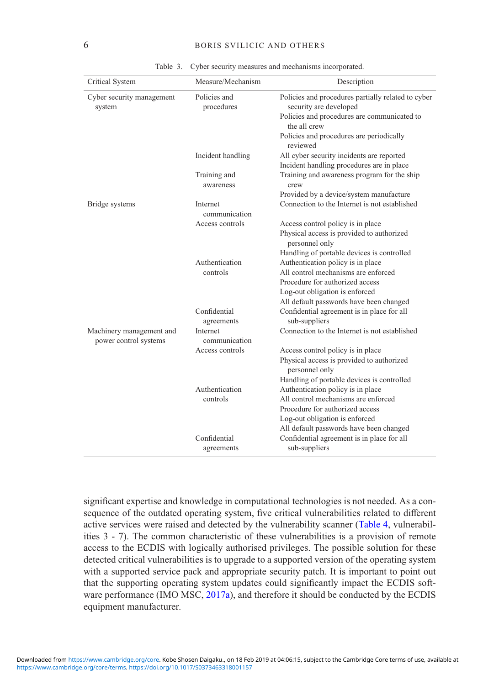<span id="page-5-0"></span>

| Critical System                                   | Measure/Mechanism          | Description                                                                                                                                 |
|---------------------------------------------------|----------------------------|---------------------------------------------------------------------------------------------------------------------------------------------|
| Cyber security management<br>system               | Policies and<br>procedures | Policies and procedures partially related to cyber<br>security are developed<br>Policies and procedures are communicated to<br>the all crew |
|                                                   |                            | Policies and procedures are periodically<br>reviewed                                                                                        |
|                                                   | Incident handling          | All cyber security incidents are reported<br>Incident handling procedures are in place                                                      |
|                                                   | Training and<br>awareness  | Training and awareness program for the ship<br>crew                                                                                         |
|                                                   |                            | Provided by a device/system manufacture                                                                                                     |
| Bridge systems                                    | Internet<br>communication  | Connection to the Internet is not established                                                                                               |
|                                                   | Access controls            | Access control policy is in place                                                                                                           |
|                                                   |                            | Physical access is provided to authorized<br>personnel only                                                                                 |
|                                                   |                            | Handling of portable devices is controlled                                                                                                  |
|                                                   | Authentication             | Authentication policy is in place                                                                                                           |
|                                                   | controls                   | All control mechanisms are enforced                                                                                                         |
|                                                   |                            | Procedure for authorized access                                                                                                             |
|                                                   |                            | Log-out obligation is enforced                                                                                                              |
|                                                   |                            | All default passwords have been changed                                                                                                     |
|                                                   | Confidential<br>agreements | Confidential agreement is in place for all<br>sub-suppliers                                                                                 |
| Machinery management and<br>power control systems | Internet<br>communication  | Connection to the Internet is not established                                                                                               |
|                                                   | Access controls            | Access control policy is in place                                                                                                           |
|                                                   |                            | Physical access is provided to authorized<br>personnel only                                                                                 |
|                                                   |                            | Handling of portable devices is controlled                                                                                                  |
|                                                   | Authentication             | Authentication policy is in place                                                                                                           |
|                                                   | controls                   | All control mechanisms are enforced                                                                                                         |
|                                                   |                            | Procedure for authorized access                                                                                                             |
|                                                   |                            | Log-out obligation is enforced                                                                                                              |
|                                                   |                            | All default passwords have been changed                                                                                                     |
|                                                   | Confidential<br>agreements | Confidential agreement is in place for all<br>sub-suppliers                                                                                 |

Table 3. Cyber security measures and mechanisms incorporated.

significant expertise and knowledge in computational technologies is not needed. As a consequence of the outdated operating system, five critical vulnerabilities related to different active services were raised and detected by the vulnerability scanner [\(Table 4,](#page-6-0) vulnerabilities 3 - 7). The common characteristic of these vulnerabilities is a provision of remote access to the ECDIS with logically authorised privileges. The possible solution for these detected critical vulnerabilities is to upgrade to a supported version of the operating system with a supported service pack and appropriate security patch. It is important to point out that the supporting operating system updates could significantly impact the ECDIS soft-ware performance (IMO MSC, [2017a\)](#page-12-11), and therefore it should be conducted by the ECDIS equipment manufacturer.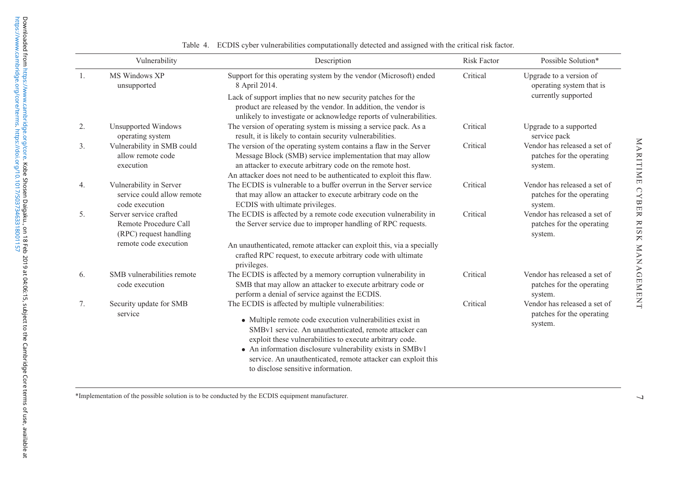<span id="page-6-0"></span>

|    | Vulnerability                                                             | Description                                                                                                                                                                                                                                                        | <b>Risk Factor</b> | Possible Solution*                                                   |
|----|---------------------------------------------------------------------------|--------------------------------------------------------------------------------------------------------------------------------------------------------------------------------------------------------------------------------------------------------------------|--------------------|----------------------------------------------------------------------|
| 1. | MS Windows XP<br>unsupported                                              | Support for this operating system by the vendor (Microsoft) ended<br>8 April 2014.                                                                                                                                                                                 | Critical           | Upgrade to a version of<br>operating system that is                  |
|    |                                                                           | Lack of support implies that no new security patches for the<br>product are released by the vendor. In addition, the vendor is<br>unlikely to investigate or acknowledge reports of vulnerabilities.                                                               |                    | currently supported                                                  |
| 2. | <b>Unsupported Windows</b><br>operating system                            | The version of operating system is missing a service pack. As a<br>result, it is likely to contain security vulnerabilities.                                                                                                                                       | Critical           | Upgrade to a supported<br>service pack                               |
| 3. | Vulnerability in SMB could<br>allow remote code<br>execution              | The version of the operating system contains a flaw in the Server<br>Message Block (SMB) service implementation that may allow<br>an attacker to execute arbitrary code on the remote host.<br>An attacker does not need to be authenticated to exploit this flaw. | Critical           | Vendor has released a set of<br>patches for the operating<br>system. |
| 4. | Vulnerability in Server<br>service could allow remote<br>code execution   | The ECDIS is vulnerable to a buffer overrun in the Server service<br>that may allow an attacker to execute arbitrary code on the<br>ECDIS with ultimate privileges.                                                                                                | Critical           | Vendor has released a set of<br>patches for the operating<br>system. |
| 5. | Server service crafted<br>Remote Procedure Call<br>(RPC) request handling | The ECDIS is affected by a remote code execution vulnerability in<br>the Server service due to improper handling of RPC requests.                                                                                                                                  | Critical           | Vendor has released a set of<br>patches for the operating<br>system. |
|    | remote code execution                                                     | An unauthenticated, remote attacker can exploit this, via a specially<br>crafted RPC request, to execute arbitrary code with ultimate<br>privileges.                                                                                                               |                    |                                                                      |
| 6. | SMB vulnerabilities remote<br>code execution                              | The ECDIS is affected by a memory corruption vulnerability in<br>SMB that may allow an attacker to execute arbitrary code or<br>perform a denial of service against the ECDIS.                                                                                     | Critical           | Vendor has released a set of<br>patches for the operating<br>system. |
| 7. | Security update for SMB<br>service                                        | The ECDIS is affected by multiple vulnerabilities:                                                                                                                                                                                                                 | Critical           | Vendor has released a set of<br>patches for the operating            |
|    |                                                                           | • Multiple remote code execution vulnerabilities exist in<br>SMBv1 service. An unauthenticated, remote attacker can<br>exploit these vulnerabilities to execute arbitrary code.                                                                                    |                    | system.                                                              |
|    |                                                                           | • An information disclosure vulnerability exists in SMBv1<br>service. An unauthenticated, remote attacker can exploit this<br>to disclose sensitive information.                                                                                                   |                    |                                                                      |

Table 4. ECDIS cyber vulnerabilities computationally detected and assigned with the critical risk factor.

\*Implementation of the possible solution is to be conducted by the ECDIS equipment manufacturer.

 $\overline{\phantom{0}}$ 

MARITIME CYBER RISK MANAGEMENT

MARITIME CYBER RISK MANAGEMENT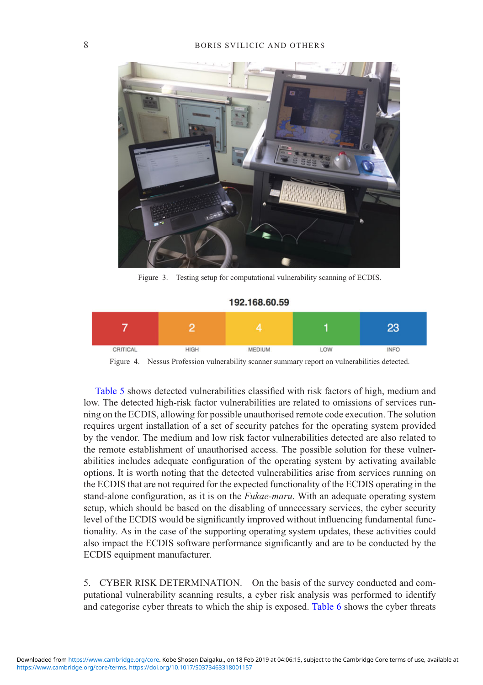<span id="page-7-0"></span>

Figure 3. Testing setup for computational vulnerability scanning of ECDIS.

192.168.60.59

<span id="page-7-1"></span>

Figure 4. Nessus Profession vulnerability scanner summary report on vulnerabilities detected.

[Table 5](#page-8-0) shows detected vulnerabilities classified with risk factors of high, medium and low. The detected high-risk factor vulnerabilities are related to omissions of services running on the ECDIS, allowing for possible unauthorised remote code execution. The solution requires urgent installation of a set of security patches for the operating system provided by the vendor. The medium and low risk factor vulnerabilities detected are also related to the remote establishment of unauthorised access. The possible solution for these vulnerabilities includes adequate configuration of the operating system by activating available options. It is worth noting that the detected vulnerabilities arise from services running on the ECDIS that are not required for the expected functionality of the ECDIS operating in the stand-alone configuration, as it is on the *Fukae-maru*. With an adequate operating system setup, which should be based on the disabling of unnecessary services, the cyber security level of the ECDIS would be significantly improved without influencing fundamental functionality. As in the case of the supporting operating system updates, these activities could also impact the ECDIS software performance significantly and are to be conducted by the ECDIS equipment manufacturer.

5. CYBER RISK DETERMINATION. On the basis of the survey conducted and computational vulnerability scanning results, a cyber risk analysis was performed to identify and categorise cyber threats to which the ship is exposed. [Table 6](#page-9-0) shows the cyber threats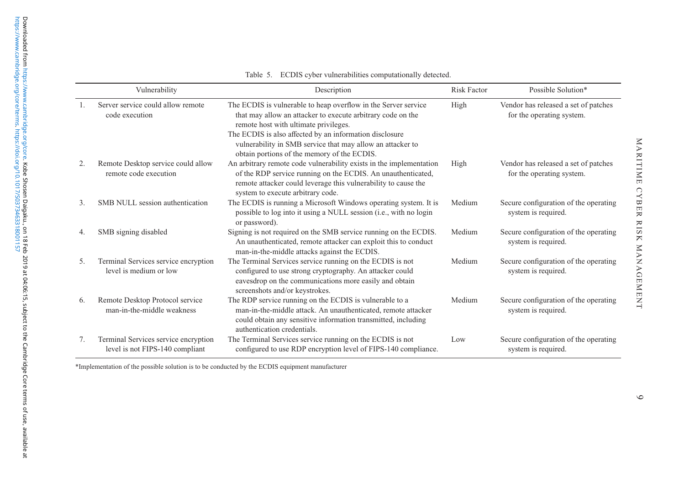<span id="page-8-0"></span>

|    | Vulnerability                                                           | Description                                                                                                                                                                                                                                                                                                                                    | <b>Risk Factor</b> | Possible Solution*                                                |
|----|-------------------------------------------------------------------------|------------------------------------------------------------------------------------------------------------------------------------------------------------------------------------------------------------------------------------------------------------------------------------------------------------------------------------------------|--------------------|-------------------------------------------------------------------|
|    | Server service could allow remote<br>code execution                     | The ECDIS is vulnerable to heap overflow in the Server service<br>that may allow an attacker to execute arbitrary code on the<br>remote host with ultimate privileges.<br>The ECDIS is also affected by an information disclosure<br>vulnerability in SMB service that may allow an attacker to<br>obtain portions of the memory of the ECDIS. | High               | Vendor has released a set of patches<br>for the operating system. |
| 2. | Remote Desktop service could allow<br>remote code execution             | An arbitrary remote code vulnerability exists in the implementation<br>of the RDP service running on the ECDIS. An unauthenticated,<br>remote attacker could leverage this vulnerability to cause the<br>system to execute arbitrary code.                                                                                                     | High               | Vendor has released a set of patches<br>for the operating system. |
| 3. | SMB NULL session authentication                                         | The ECDIS is running a Microsoft Windows operating system. It is<br>possible to log into it using a NULL session (i.e., with no login<br>or password).                                                                                                                                                                                         | Medium             | Secure configuration of the operating<br>system is required.      |
| 4. | SMB signing disabled                                                    | Signing is not required on the SMB service running on the ECDIS.<br>An unauthenticated, remote attacker can exploit this to conduct<br>man-in-the-middle attacks against the ECDIS.                                                                                                                                                            | Medium             | Secure configuration of the operating<br>system is required.      |
| 5. | Terminal Services service encryption<br>level is medium or low          | The Terminal Services service running on the ECDIS is not<br>configured to use strong cryptography. An attacker could<br>eavesdrop on the communications more easily and obtain<br>screenshots and/or keystrokes.                                                                                                                              | Medium             | Secure configuration of the operating<br>system is required.      |
| 6. | Remote Desktop Protocol service<br>man-in-the-middle weakness           | The RDP service running on the ECDIS is vulnerable to a<br>man-in-the-middle attack. An unauthenticated, remote attacker<br>could obtain any sensitive information transmitted, including<br>authentication credentials.                                                                                                                       | Medium             | Secure configuration of the operating<br>system is required.      |
| 7. | Terminal Services service encryption<br>level is not FIPS-140 compliant | The Terminal Services service running on the ECDIS is not<br>configured to use RDP encryption level of FIPS-140 compliance.                                                                                                                                                                                                                    | Low                | Secure configuration of the operating<br>system is required.      |

| Table 5. ECDIS cyber vulnerabilities computationally detected. |  |
|----------------------------------------------------------------|--|
|                                                                |  |

\*Implementation of the possible solution is to be conducted by the ECDIS equipment manufacturer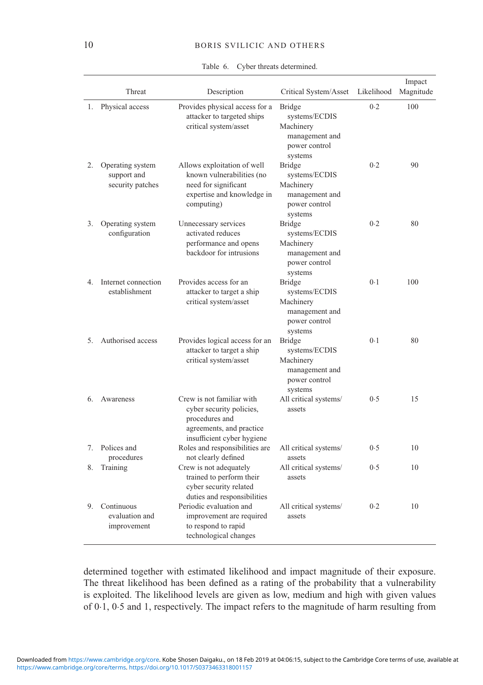## <span id="page-9-0"></span>10 BORIS SVILICIC AND OTHERS

|    | Threat                                              | Description                                                                                                                       | Critical System/Asset                                                                     | Likelihood | Impact<br>Magnitude |
|----|-----------------------------------------------------|-----------------------------------------------------------------------------------------------------------------------------------|-------------------------------------------------------------------------------------------|------------|---------------------|
| 1. | Physical access                                     | Provides physical access for a<br>attacker to targeted ships<br>critical system/asset                                             | <b>Bridge</b><br>systems/ECDIS<br>Machinery<br>management and<br>power control<br>systems | 0.2        | 100                 |
| 2. | Operating system<br>support and<br>security patches | Allows exploitation of well<br>known vulnerabilities (no<br>need for significant<br>expertise and knowledge in<br>computing)      | <b>Bridge</b><br>systems/ECDIS<br>Machinery<br>management and<br>power control<br>systems | 0.2        | 90                  |
| 3. | Operating system<br>configuration                   | Unnecessary services<br>activated reduces<br>performance and opens<br>backdoor for intrusions                                     | <b>Bridge</b><br>systems/ECDIS<br>Machinery<br>management and<br>power control<br>systems | 0.2        | 80                  |
| 4. | Internet connection<br>establishment                | Provides access for an<br>attacker to target a ship<br>critical system/asset                                                      | <b>Bridge</b><br>systems/ECDIS<br>Machinery<br>management and<br>power control<br>systems | 0.1        | 100                 |
| 5. | Authorised access                                   | Provides logical access for an<br>attacker to target a ship<br>critical system/asset                                              | <b>Bridge</b><br>systems/ECDIS<br>Machinery<br>management and<br>power control<br>systems | 0.1        | 80                  |
| 6. | Awareness                                           | Crew is not familiar with<br>cyber security policies,<br>procedures and<br>agreements, and practice<br>insufficient cyber hygiene | All critical systems/<br>assets                                                           | 0.5        | 15                  |
| 7. | Polices and<br>procedures                           | Roles and responsibilities are<br>not clearly defined                                                                             | All critical systems/<br>assets                                                           | 0.5        | 10                  |
| 8. | Training                                            | Crew is not adequately<br>trained to perform their<br>cyber security related<br>duties and responsibilities                       | All critical systems/<br>assets                                                           | 0.5        | 10                  |
| 9. | Continuous<br>evaluation and<br>improvement         | Periodic evaluation and<br>improvement are required<br>to respond to rapid<br>technological changes                               | All critical systems/<br>assets                                                           | 0.2        | 10                  |

Table 6. Cyber threats determined.

determined together with estimated likelihood and impact magnitude of their exposure. The threat likelihood has been defined as a rating of the probability that a vulnerability is exploited. The likelihood levels are given as low, medium and high with given values of 0·1, 0·5 and 1, respectively. The impact refers to the magnitude of harm resulting from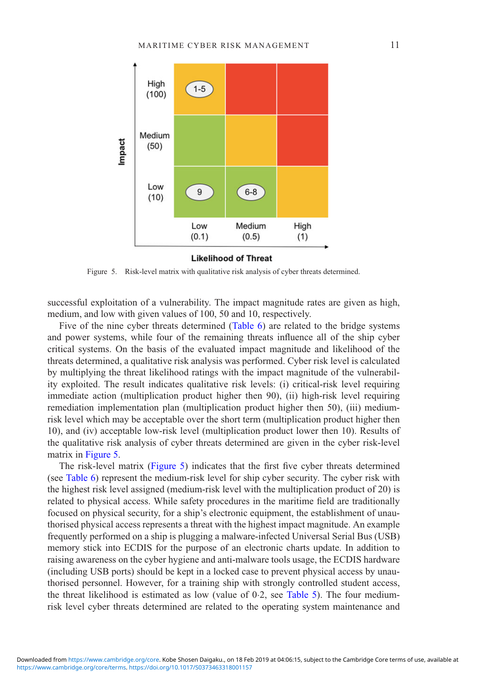<span id="page-10-0"></span>

#### **Likelihood of Threat**

Figure 5. Risk-level matrix with qualitative risk analysis of cyber threats determined.

successful exploitation of a vulnerability. The impact magnitude rates are given as high, medium, and low with given values of 100, 50 and 10, respectively.

Five of the nine cyber threats determined [\(Table 6\)](#page-9-0) are related to the bridge systems and power systems, while four of the remaining threats influence all of the ship cyber critical systems. On the basis of the evaluated impact magnitude and likelihood of the threats determined, a qualitative risk analysis was performed. Cyber risk level is calculated by multiplying the threat likelihood ratings with the impact magnitude of the vulnerability exploited. The result indicates qualitative risk levels: (i) critical-risk level requiring immediate action (multiplication product higher then 90), (ii) high-risk level requiring remediation implementation plan (multiplication product higher then 50), (iii) mediumrisk level which may be acceptable over the short term (multiplication product higher then 10), and (iv) acceptable low-risk level (multiplication product lower then 10). Results of the qualitative risk analysis of cyber threats determined are given in the cyber risk-level matrix in [Figure 5.](#page-10-0)

The risk-level matrix [\(Figure 5\)](#page-10-0) indicates that the first five cyber threats determined (see [Table 6\)](#page-9-0) represent the medium-risk level for ship cyber security. The cyber risk with the highest risk level assigned (medium-risk level with the multiplication product of 20) is related to physical access. While safety procedures in the maritime field are traditionally focused on physical security, for a ship's electronic equipment, the establishment of unauthorised physical access represents a threat with the highest impact magnitude. An example frequently performed on a ship is plugging a malware-infected Universal Serial Bus (USB) memory stick into ECDIS for the purpose of an electronic charts update. In addition to raising awareness on the cyber hygiene and anti-malware tools usage, the ECDIS hardware (including USB ports) should be kept in a locked case to prevent physical access by unauthorised personnel. However, for a training ship with strongly controlled student access, the threat likelihood is estimated as low (value of 0·2, see [Table 5\)](#page-8-0). The four mediumrisk level cyber threats determined are related to the operating system maintenance and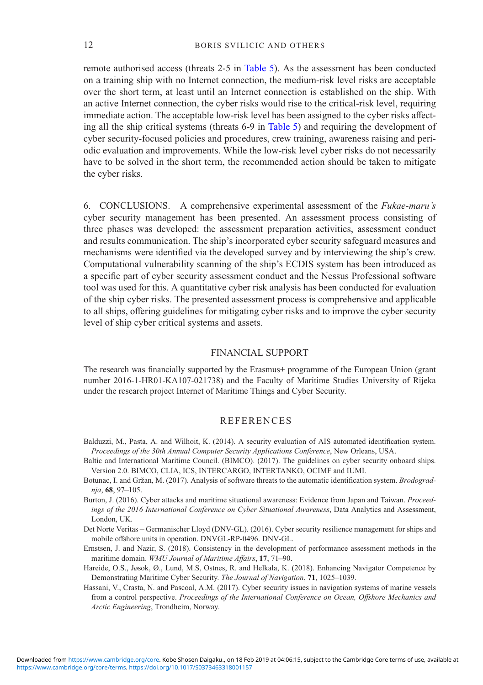remote authorised access (threats 2-5 in [Table 5\)](#page-8-0). As the assessment has been conducted on a training ship with no Internet connection, the medium-risk level risks are acceptable over the short term, at least until an Internet connection is established on the ship. With an active Internet connection, the cyber risks would rise to the critical-risk level, requiring immediate action. The acceptable low-risk level has been assigned to the cyber risks affecting all the ship critical systems (threats 6-9 in [Table 5\)](#page-8-0) and requiring the development of cyber security-focused policies and procedures, crew training, awareness raising and periodic evaluation and improvements. While the low-risk level cyber risks do not necessarily have to be solved in the short term, the recommended action should be taken to mitigate the cyber risks.

6. CONCLUSIONS. A comprehensive experimental assessment of the *Fukae-maru's* cyber security management has been presented. An assessment process consisting of three phases was developed: the assessment preparation activities, assessment conduct and results communication. The ship's incorporated cyber security safeguard measures and mechanisms were identified via the developed survey and by interviewing the ship's crew. Computational vulnerability scanning of the ship's ECDIS system has been introduced as a specific part of cyber security assessment conduct and the Nessus Professional software tool was used for this. A quantitative cyber risk analysis has been conducted for evaluation of the ship cyber risks. The presented assessment process is comprehensive and applicable to all ships, offering guidelines for mitigating cyber risks and to improve the cyber security level of ship cyber critical systems and assets.

## FINANCIAL SUPPORT

The research was financially supported by the Erasmus+ programme of the European Union (grant number 2016-1-HR01-KA107-021738) and the Faculty of Maritime Studies University of Rijeka under the research project Internet of Maritime Things and Cyber Security.

## **REFERENCES**

- <span id="page-11-4"></span>Balduzzi, M., Pasta, A. and Wilhoit, K. (2014). A security evaluation of AIS automated identification system. *Proceedings of the 30th Annual Computer Security Applications Conference*, New Orleans, USA.
- <span id="page-11-5"></span>Baltic and International Maritime Council. (BIMCO). (2017). The guidelines on cyber security onboard ships. Version 2.0. BIMCO, CLIA, ICS, INTERCARGO, INTERTANKO, OCIMF and IUMI.
- <span id="page-11-1"></span>Botunac, I. and Gržan, M. (2017). Analysis of software threats to the automatic identification system. *Brodogradnja*, **68**, 97–105.
- <span id="page-11-3"></span>Burton, J. (2016). Cyber attacks and maritime situational awareness: Evidence from Japan and Taiwan. *Proceedings of the 2016 International Conference on Cyber Situational Awareness*, Data Analytics and Assessment, London, UK.
- <span id="page-11-6"></span>Det Norte Veritas – Germanischer Lloyd (DNV-GL). (2016). Cyber security resilience management for ships and mobile offshore units in operation. DNVGL-RP-0496. DNV-GL.
- <span id="page-11-7"></span>Ernstsen, J. and Nazir, S. (2018). Consistency in the development of performance assessment methods in the maritime domain. *WMU Journal of Maritime Affairs*, **17**, 71–90.
- <span id="page-11-0"></span>Hareide, O.S., Jøsok, Ø., Lund, M.S, Ostnes, R. and Helkala, K. (2018). Enhancing Navigator Competence by Demonstrating Maritime Cyber Security. *The Journal of Navigation*, **71**, 1025–1039.
- <span id="page-11-2"></span>Hassani, V., Crasta, N. and Pascoal, A.M. (2017). Cyber security issues in navigation systems of marine vessels from a control perspective. *Proceedings of the International Conference on Ocean, Offshore Mechanics and Arctic Engineering*, Trondheim, Norway.